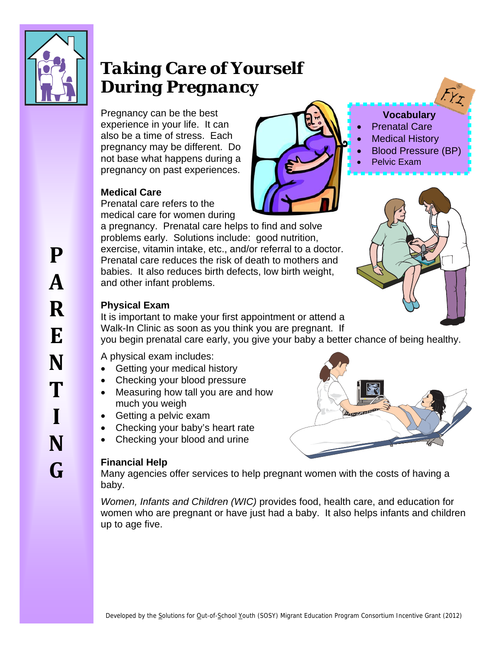

# *Taking Care of Yourself During Pregnancy*

Pregnancy can be the best experience in your life. It can also be a time of stress. Each pregnancy may be different. Do not base what happens during a pregnancy on past experiences.

# **Medical Care**

Prenatal care refers to the medical care for women during

a pregnancy. Prenatal care helps to find and solve problems early. Solutions include: good nutrition, exercise, vitamin intake, etc., and/or referral to a doctor. Prenatal care reduces the risk of death to mothers and babies. It also reduces [birth defects](http://en.wikipedia.org/wiki/Birth_defects), [low birth weight](http://en.wikipedia.org/wiki/Low_birth_weight), and other infant problems.



# **Vocabulary**

- Prenatal Care
- Medical History
- Blood Pressure (BP)
- Pelvic Exam



# **Physical Exam**

It is important to make your first appointment or attend a Walk-In Clinic as soon as you think you are pregnant. If

you begin prenatal care early, you give your baby a better chance of being healthy.

A physical exam includes:

- Getting your [medical history](http://en.wikipedia.org/wiki/Medical_history)
- Checking your [blood pressure](http://en.wikipedia.org/wiki/Blood_pressure)
- Measuring how tall you are and how much you weigh
- [Getting a pelvic exam](http://en.wikipedia.org/wiki/Pelvic_exam)
- [Checking](http://en.wikipedia.org/wiki/Doppler_fetal_heart_rate_monitor) your baby's heart rate
- Checking your blood and urine

# **Financial Help**

Many agencies offer services to help pregnant women with the costs of having a baby.

*Women, Infants and Children (WIC)* provides food, health care, and education for women who are pregnant or have just had a baby. It also helps infants and children up to age five.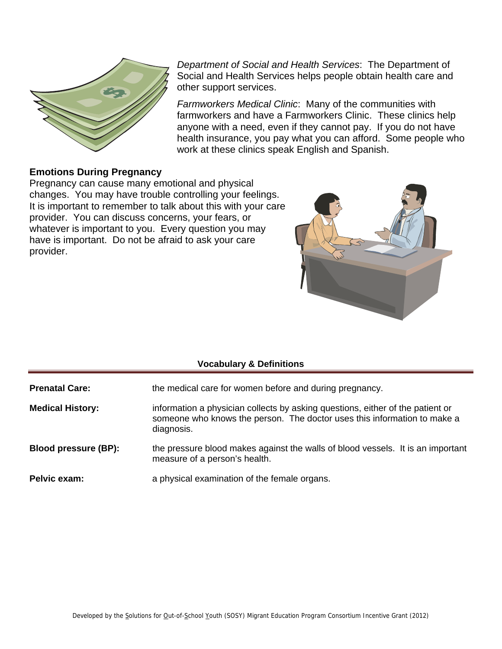

*Department of Social and Health Services*: The Department of Social and Health Services helps people obtain health care and other support services.

*Farmworkers Medical Clinic*: Many of the communities with farmworkers and have a Farmworkers Clinic. These clinics help anyone with a need, even if they cannot pay. If you do not have health insurance, you pay what you can afford. Some people who work at these clinics speak English and Spanish.

## **Emotions During Pregnancy**

Pregnancy can cause many emotional and physical changes. You may have trouble controlling your feelings. It is important to remember to talk about this with your care provider. You can discuss concerns, your fears, or whatever is important to you. Every question you may have is important. Do not be afraid to ask your care provider.



### **Vocabulary & Definitions**

**Prenatal Care: the medical care for women before and during pregnancy.** 

- **Medical History:** information a [physician](http://en.wikipedia.org/wiki/Physician) collects by asking questions, either of the patient or someone who knows the person. The doctor uses this information to make a diagnosis.
- **Blood pressure (BP):** the [pressure](http://en.wikipedia.org/wiki/Pressure) [blood](http://en.wikipedia.org/wiki/Blood) makes against the walls of [blood vessels.](http://en.wikipedia.org/wiki/Blood_vessel) It is an important measure of a person's health.
- **Pelvic exam:** a [physical examination](http://en.wikipedia.org/wiki/Physical_examination) of the [female](http://en.wikipedia.org/wiki/Female) [organs](http://en.wikipedia.org/wiki/Organ_(anatomy)).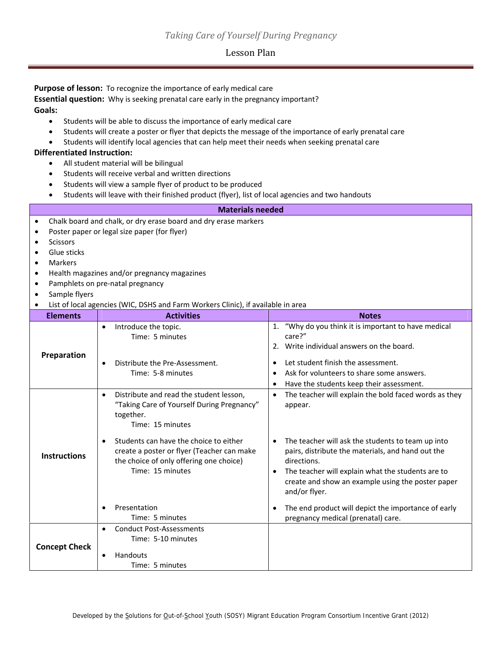#### Lesson Plan

**Purpose of lesson:** To recognize the importance of early medical care

**Essential question:** Why is seeking prenatal care early in the pregnancy important? **Goals:**

- Students will be able to discuss the importance of early medical care
- Students will create a poster or flyer that depicts the message of the importance of early prenatal care
- Students will identify local agencies that can help meet their needs when seeking prenatal care

#### **Differentiated Instruction:**

- All student material will be bilingual
- Students will receive verbal and written directions
- Students will view a sample flyer of product to be produced
- Students will leave with their finished product (flyer), list of local agencies and two handouts

#### **Materials needed** Chalk board and chalk, or dry erase board and dry erase markers Poster paper or legal size paper (for flyer) **Scissors •** Glue sticks Markers Health magazines and/or pregnancy magazines Pamphlets on pre‐natal pregnancy Sample flyers List of local agencies (WIC, DSHS and Farm Workers Clinic), if available in area **Elements Activities Notes Preparation** • Introduce the topic. Time: 5 minutes ● Distribute the Pre-Assessment. Time: 5‐8 minutes 1. "Why do you think it is important to have medical care?" 2. Write individual answers on the board. Let student finish the assessment. Ask for volunteers to share some answers. Have the students keep their assessment. **Instructions** Distribute and read the student lesson, "Taking Care of Yourself During Pregnancy" together. Time: 15 minutes • Students can have the choice to either create a poster or flyer (Teacher can make the choice of only offering one choice) Time: 15 minutes • Presentation Time: 5 minutes • The teacher will explain the bold faced words as they appear. • The teacher will ask the students to team up into pairs, distribute the materials, and hand out the directions. • The teacher will explain what the students are to create and show an example using the poster paper and/or flyer. • The end product will depict the importance of early pregnancy medical (prenatal) care. **Concept Check** ● Conduct Post-Assessments Time: 5‐10 minutes Handouts Time: 5 minutes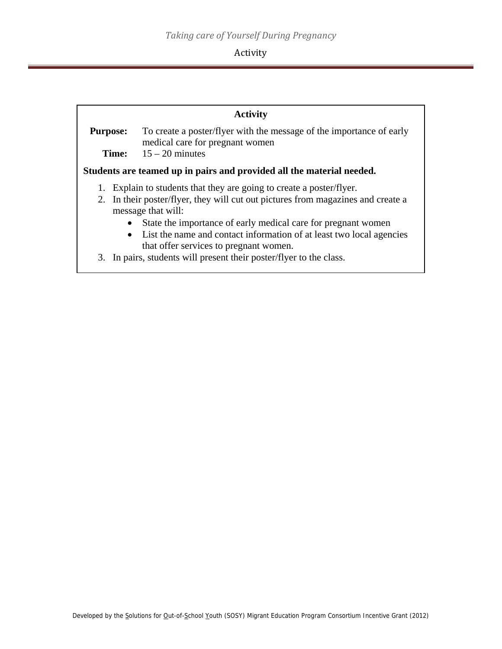#### Activity

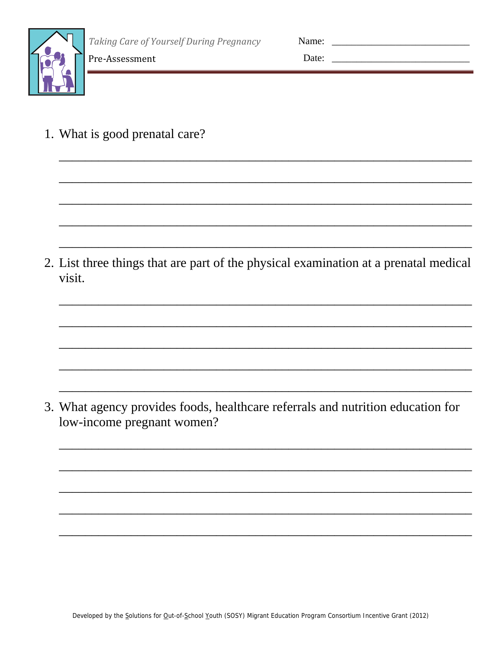

| Name: |  |
|-------|--|
| Date: |  |

1. What is good prenatal care?

Pre-Assessment

2. List three things that are part of the physical examination at a prenatal medical visit.

3. What agency provides foods, healthcare referrals and nutrition education for low-income pregnant women?